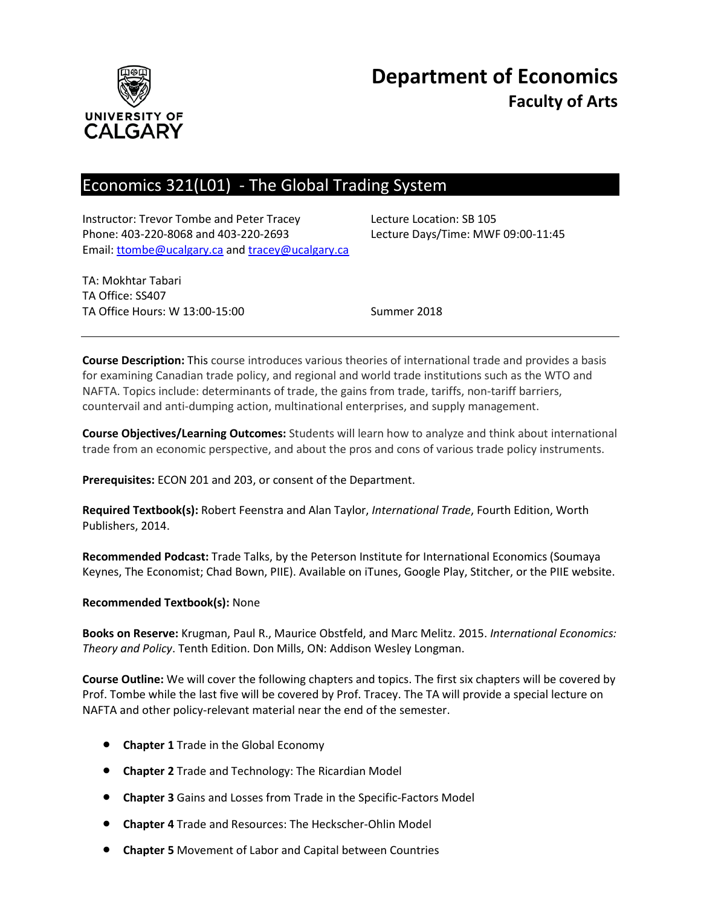

# **Department of Economics Faculty of Arts**

## Economics 321(L01) - The Global Trading System

Instructor: Trevor Tombe and Peter Tracey Lecture Location: SB 105 Phone: 403-220-8068 and 403-220-2693 Lecture Days/Time: MWF 09:00-11:45 Email: [ttombe@ucalgary.ca](mailto:ttombe@ucalgary.ca) and [tracey@ucalgary.ca](mailto:tracey@ucalgary.ca)

TA: Mokhtar Tabari TA Office: SS407 TA Office Hours: W 13:00-15:00 Summer 2018

**Course Description:** This course introduces various theories of international trade and provides a basis for examining Canadian trade policy, and regional and world trade institutions such as the WTO and NAFTA. Topics include: determinants of trade, the gains from trade, tariffs, non-tariff barriers, countervail and anti-dumping action, multinational enterprises, and supply management.

**Course Objectives/Learning Outcomes:** Students will learn how to analyze and think about international trade from an economic perspective, and about the pros and cons of various trade policy instruments.

**Prerequisites:** ECON 201 and 203, or consent of the Department.

**Required Textbook(s):** Robert Feenstra and Alan Taylor, *International Trade*, Fourth Edition, Worth Publishers, 2014.

**Recommended Podcast:** Trade Talks, by the Peterson Institute for International Economics (Soumaya Keynes, The Economist; Chad Bown, PIIE). Available on iTunes, Google Play, Stitcher, or the PIIE website.

#### **Recommended Textbook(s):** None

**Books on Reserve:** Krugman, Paul R., Maurice Obstfeld, and Marc Melitz. 2015. *International Economics: Theory and Policy*. Tenth Edition. Don Mills, ON: Addison Wesley Longman.

**Course Outline:** We will cover the following chapters and topics. The first six chapters will be covered by Prof. Tombe while the last five will be covered by Prof. Tracey. The TA will provide a special lecture on NAFTA and other policy-relevant material near the end of the semester.

- **Chapter 1** Trade in the Global Economy
- **Chapter 2** Trade and Technology: The Ricardian Model
- **Chapter 3** Gains and Losses from Trade in the Specific-Factors Model
- **Chapter 4** Trade and Resources: The Heckscher-Ohlin Model
- **Chapter 5** Movement of Labor and Capital between Countries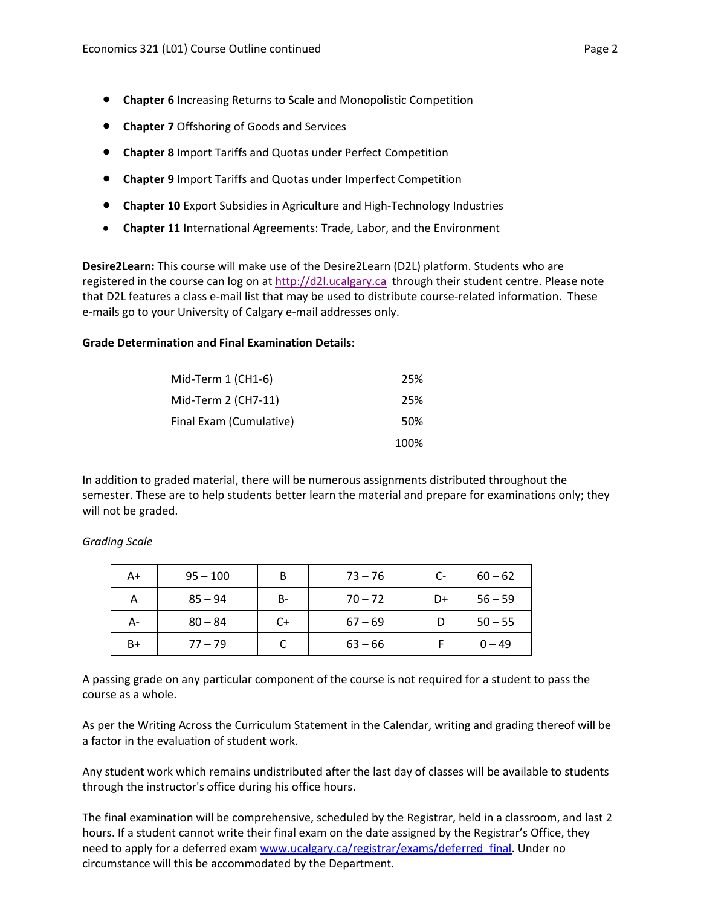- **Chapter 6** Increasing Returns to Scale and Monopolistic Competition
- **Chapter 7** Offshoring of Goods and Services
- **Chapter 8** Import Tariffs and Quotas under Perfect Competition
- **Chapter 9** Import Tariffs and Quotas under Imperfect Competition
- **Chapter 10** Export Subsidies in Agriculture and High-Technology Industries
- **Chapter 11** International Agreements: Trade, Labor, and the Environment

**Desire2Learn:** This course will make use of the Desire2Learn (D2L) platform. Students who are registered in the course can log on at [http://d2l.ucalgary.ca](http://d2l.ucalgary.ca/) through their student centre. Please note that D2L features a class e-mail list that may be used to distribute course-related information. These e-mails go to your University of Calgary e-mail addresses only.

#### **Grade Determination and Final Examination Details:**

| Mid-Term $1$ (CH1-6)    | 25%  |
|-------------------------|------|
| Mid-Term 2 (CH7-11)     | 25%  |
| Final Exam (Cumulative) | 50%  |
|                         | 100% |

In addition to graded material, there will be numerous assignments distributed throughout the semester. These are to help students better learn the material and prepare for examinations only; they will not be graded.

| A+   | $95 - 100$ | B  | $73 - 76$ | $C-$ | $60 - 62$ |
|------|------------|----|-----------|------|-----------|
|      | $85 - 94$  | B- | $70 - 72$ | D+   | $56 - 59$ |
| А-   | $80 - 84$  | C+ | $67 - 69$ |      | $50 - 55$ |
| $B+$ | $77 - 79$  |    | $63 - 66$ |      | $0 - 49$  |

*Grading Scale*

A passing grade on any particular component of the course is not required for a student to pass the course as a whole.

As per the Writing Across the Curriculum Statement in the Calendar, writing and grading thereof will be a factor in the evaluation of student work.

Any student work which remains undistributed after the last day of classes will be available to students through the instructor's office during his office hours.

The final examination will be comprehensive, scheduled by the Registrar, held in a classroom, and last 2 hours. If a student cannot write their final exam on the date assigned by the Registrar's Office, they need to apply for a deferred exam [www.ucalgary.ca/registrar/exams/deferred\\_final.](http://www.ucalgary.ca/registrar/exams/deferred_final) Under no circumstance will this be accommodated by the Department.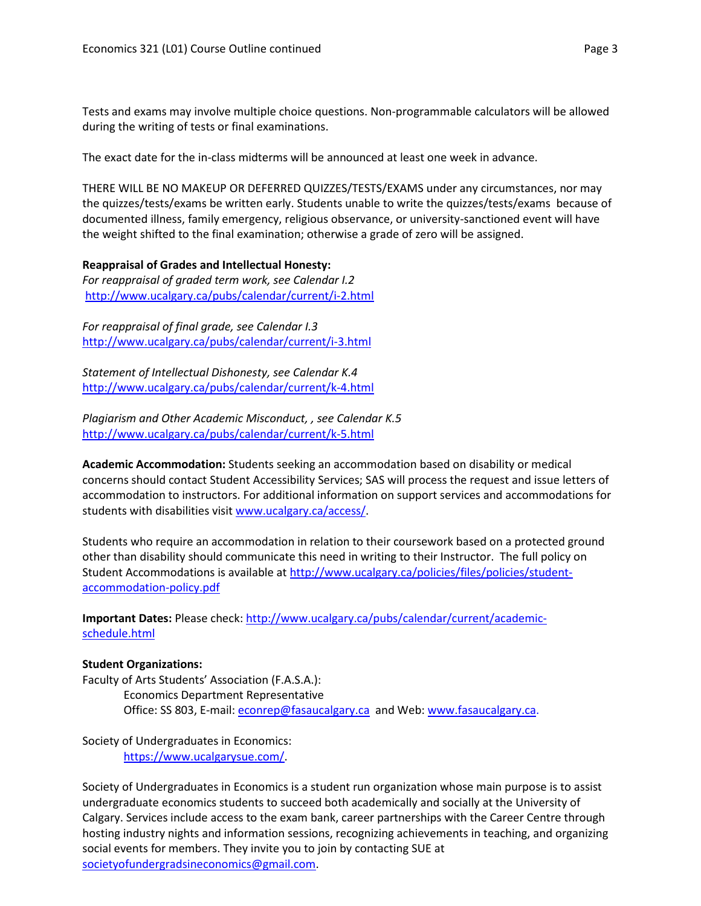Tests and exams may involve multiple choice questions. Non-programmable calculators will be allowed during the writing of tests or final examinations.

The exact date for the in-class midterms will be announced at least one week in advance.

THERE WILL BE NO MAKEUP OR DEFERRED QUIZZES/TESTS/EXAMS under any circumstances, nor may the quizzes/tests/exams be written early. Students unable to write the quizzes/tests/exams because of documented illness, family emergency, religious observance, or university-sanctioned event will have the weight shifted to the final examination; otherwise a grade of zero will be assigned.

### **Reappraisal of Grades and Intellectual Honesty:**

*For reappraisal of graded term work, see Calendar I.2* <http://www.ucalgary.ca/pubs/calendar/current/i-2.html>

*For reappraisal of final grade, see Calendar I.3* <http://www.ucalgary.ca/pubs/calendar/current/i-3.html>

*Statement of Intellectual Dishonesty, see Calendar K.4* <http://www.ucalgary.ca/pubs/calendar/current/k-4.html>

*Plagiarism and Other Academic Misconduct, , see Calendar K.5* <http://www.ucalgary.ca/pubs/calendar/current/k-5.html>

**Academic Accommodation:** Students seeking an accommodation based on disability or medical concerns should contact Student Accessibility Services; SAS will process the request and issue letters of accommodation to instructors. For additional information on support services and accommodations for students with disabilities visit [www.ucalgary.ca/access/.](http://www.ucalgary.ca/access/)

Students who require an accommodation in relation to their coursework based on a protected ground other than disability should communicate this need in writing to their Instructor. The full policy on Student Accommodations is available at [http://www.ucalgary.ca/policies/files/policies/student](http://www.ucalgary.ca/policies/files/policies/student-accommodation-policy.pdf)[accommodation-policy.pdf](http://www.ucalgary.ca/policies/files/policies/student-accommodation-policy.pdf)

**Important Dates:** Please check: [http://www.ucalgary.ca/pubs/calendar/current/academic](http://www.ucalgary.ca/pubs/calendar/current/academic-schedule.html)[schedule.html](http://www.ucalgary.ca/pubs/calendar/current/academic-schedule.html)

#### **Student Organizations:**

Faculty of Arts Students' Association (F.A.S.A.):

Economics Department Representative Office: SS 803, E-mail: [econrep@fasaucalgary.ca](mailto:econrep@fasaucalgary.ca) and Web[: www.fasaucalgary.ca.](http://www.fasaucalgary.ca/)

Society of Undergraduates in Economics: [https://www.ucalgarysue.com/.](https://www.ucalgarysue.com/)

Society of Undergraduates in Economics is a student run organization whose main purpose is to assist undergraduate economics students to succeed both academically and socially at the University of Calgary. Services include access to the exam bank, career partnerships with the Career Centre through hosting industry nights and information sessions, recognizing achievements in teaching, and organizing social events for members. They invite you to join by contacting SUE at [societyofundergradsineconomics@gmail.com.](mailto:societyofundergradsineconomics@gmail.com)